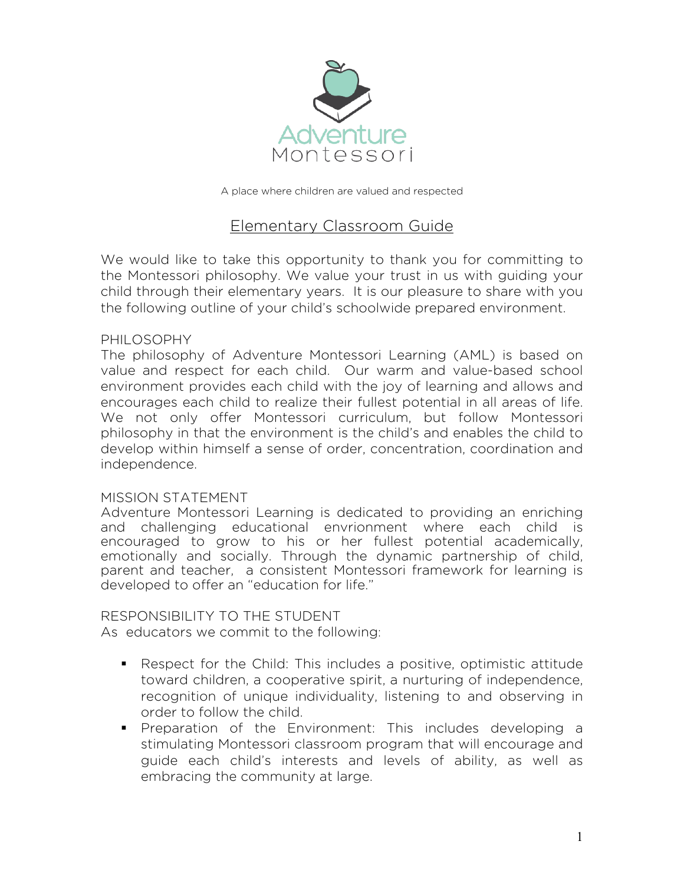

A place where children are valued and respected

# Elementary Classroom Guide

We would like to take this opportunity to thank you for committing to the Montessori philosophy. We value your trust in us with guiding your child through their elementary years. It is our pleasure to share with you the following outline of your child's schoolwide prepared environment.

### PHILOSOPHY

The philosophy of Adventure Montessori Learning (AML) is based on value and respect for each child. Our warm and value-based school environment provides each child with the joy of learning and allows and encourages each child to realize their fullest potential in all areas of life. We not only offer Montessori curriculum, but follow Montessori philosophy in that the environment is the child's and enables the child to develop within himself a sense of order, concentration, coordination and independence.

### MISSION STATEMENT

Adventure Montessori Learning is dedicated to providing an enriching and challenging educational envrionment where each child is encouraged to grow to his or her fullest potential academically, emotionally and socially. Through the dynamic partnership of child, parent and teacher, a consistent Montessori framework for learning is developed to offer an "education for life."

#### RESPONSIBILITY TO THE STUDENT

As educators we commit to the following:

- § Respect for the Child: This includes a positive, optimistic attitude toward children, a cooperative spirit, a nurturing of independence, recognition of unique individuality, listening to and observing in order to follow the child.
- § Preparation of the Environment: This includes developing a stimulating Montessori classroom program that will encourage and guide each child's interests and levels of ability, as well as embracing the community at large.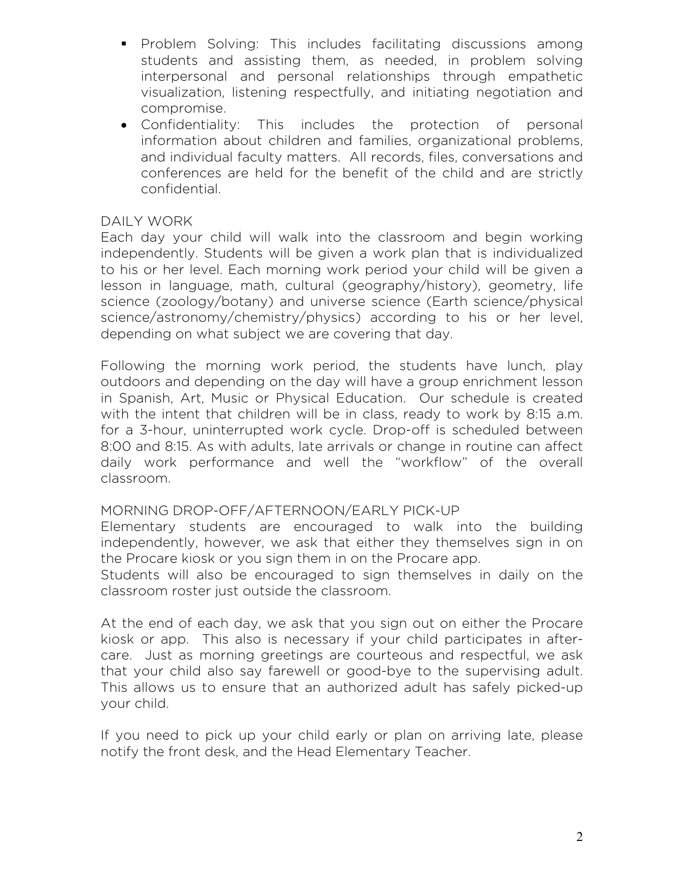- § Problem Solving: This includes facilitating discussions among students and assisting them, as needed, in problem solving interpersonal and personal relationships through empathetic visualization, listening respectfully, and initiating negotiation and compromise.
- Confidentiality: This includes the protection of personal information about children and families, organizational problems, and individual faculty matters. All records, files, conversations and conferences are held for the benefit of the child and are strictly confidential.

## DAILY WORK

Each day your child will walk into the classroom and begin working independently. Students will be given a work plan that is individualized to his or her level. Each morning work period your child will be given a lesson in language, math, cultural (geography/history), geometry, life science (zoology/botany) and universe science (Earth science/physical science/astronomy/chemistry/physics) according to his or her level, depending on what subject we are covering that day.

Following the morning work period, the students have lunch, play outdoors and depending on the day will have a group enrichment lesson in Spanish, Art, Music or Physical Education. Our schedule is created with the intent that children will be in class, ready to work by 8:15 a.m. for a 3-hour, uninterrupted work cycle. Drop-off is scheduled between 8:00 and 8:15. As with adults, late arrivals or change in routine can affect daily work performance and well the "workflow" of the overall classroom.

## MORNING DROP-OFF/AFTERNOON/EARLY PICK-UP

Elementary students are encouraged to walk into the building independently, however, we ask that either they themselves sign in on the Procare kiosk or you sign them in on the Procare app.

Students will also be encouraged to sign themselves in daily on the classroom roster just outside the classroom.

At the end of each day, we ask that you sign out on either the Procare kiosk or app. This also is necessary if your child participates in aftercare. Just as morning greetings are courteous and respectful, we ask that your child also say farewell or good-bye to the supervising adult. This allows us to ensure that an authorized adult has safely picked-up your child.

If you need to pick up your child early or plan on arriving late, please notify the front desk, and the Head Elementary Teacher.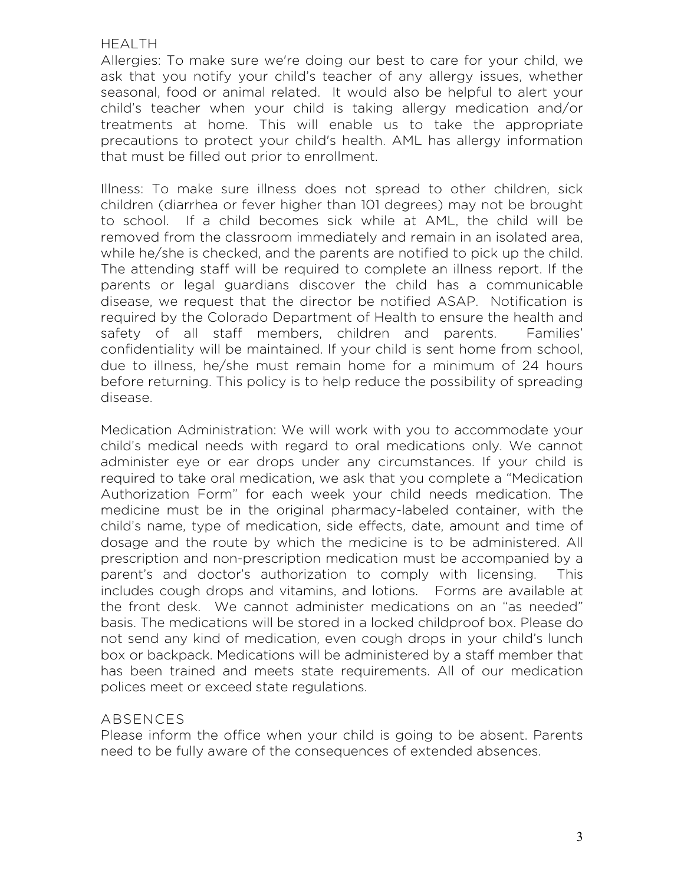### HEALTH

Allergies: To make sure we're doing our best to care for your child, we ask that you notify your child's teacher of any allergy issues, whether seasonal, food or animal related. It would also be helpful to alert your child's teacher when your child is taking allergy medication and/or treatments at home. This will enable us to take the appropriate precautions to protect your child's health. AML has allergy information that must be filled out prior to enrollment.

Illness: To make sure illness does not spread to other children, sick children (diarrhea or fever higher than 101 degrees) may not be brought to school. If a child becomes sick while at AML, the child will be removed from the classroom immediately and remain in an isolated area, while he/she is checked, and the parents are notified to pick up the child. The attending staff will be required to complete an illness report. If the parents or legal guardians discover the child has a communicable disease, we request that the director be notified ASAP. Notification is required by the Colorado Department of Health to ensure the health and safety of all staff members, children and parents. Families' confidentiality will be maintained. If your child is sent home from school, due to illness, he/she must remain home for a minimum of 24 hours before returning. This policy is to help reduce the possibility of spreading disease.

Medication Administration: We will work with you to accommodate your child's medical needs with regard to oral medications only. We cannot administer eye or ear drops under any circumstances. If your child is required to take oral medication, we ask that you complete a "Medication Authorization Form" for each week your child needs medication. The medicine must be in the original pharmacy-labeled container, with the child's name, type of medication, side effects, date, amount and time of dosage and the route by which the medicine is to be administered. All prescription and non-prescription medication must be accompanied by a parent's and doctor's authorization to comply with licensing. This includes cough drops and vitamins, and lotions. Forms are available at the front desk. We cannot administer medications on an "as needed" basis. The medications will be stored in a locked childproof box. Please do not send any kind of medication, even cough drops in your child's lunch box or backpack. Medications will be administered by a staff member that has been trained and meets state requirements. All of our medication polices meet or exceed state regulations.

## ABSENCES

Please inform the office when your child is going to be absent. Parents need to be fully aware of the consequences of extended absences.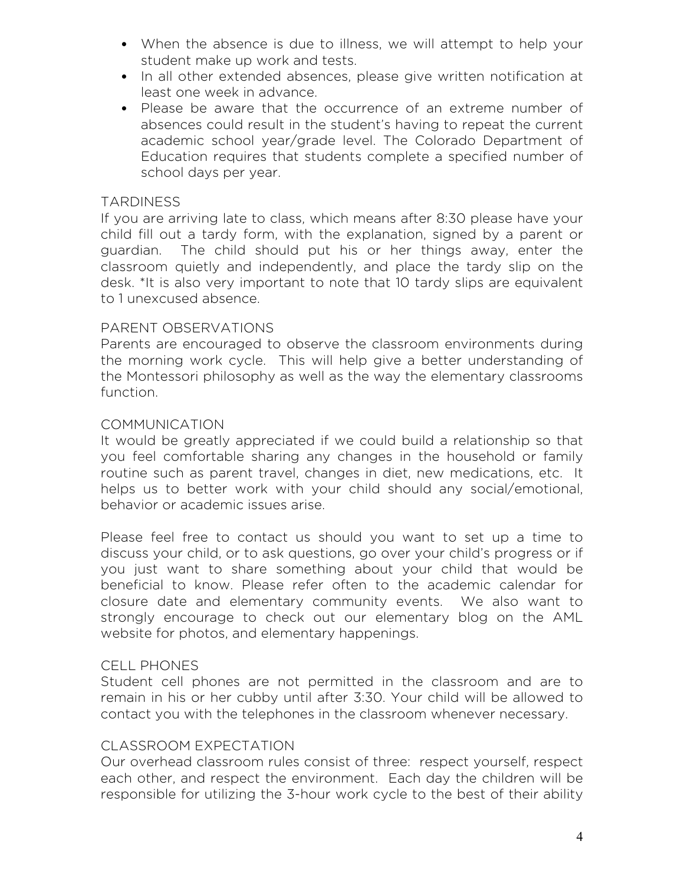- When the absence is due to illness, we will attempt to help your student make up work and tests.
- In all other extended absences, please give written notification at least one week in advance.
- Please be aware that the occurrence of an extreme number of absences could result in the student's having to repeat the current academic school year/grade level. The Colorado Department of Education requires that students complete a specified number of school days per year.

## **TARDINESS**

If you are arriving late to class, which means after 8:30 please have your child fill out a tardy form, with the explanation, signed by a parent or guardian. The child should put his or her things away, enter the classroom quietly and independently, and place the tardy slip on the desk. \*It is also very important to note that 10 tardy slips are equivalent to 1 unexcused absence.

## PARENT OBSERVATIONS

Parents are encouraged to observe the classroom environments during the morning work cycle. This will help give a better understanding of the Montessori philosophy as well as the way the elementary classrooms function.

## **COMMUNICATION**

It would be greatly appreciated if we could build a relationship so that you feel comfortable sharing any changes in the household or family routine such as parent travel, changes in diet, new medications, etc. It helps us to better work with your child should any social/emotional, behavior or academic issues arise.

Please feel free to contact us should you want to set up a time to discuss your child, or to ask questions, go over your child's progress or if you just want to share something about your child that would be beneficial to know. Please refer often to the academic calendar for closure date and elementary community events. We also want to strongly encourage to check out our elementary blog on the AML website for photos, and elementary happenings.

### CELL PHONES

Student cell phones are not permitted in the classroom and are to remain in his or her cubby until after 3:30. Your child will be allowed to contact you with the telephones in the classroom whenever necessary.

### CLASSROOM EXPECTATION

Our overhead classroom rules consist of three: respect yourself, respect each other, and respect the environment. Each day the children will be responsible for utilizing the 3-hour work cycle to the best of their ability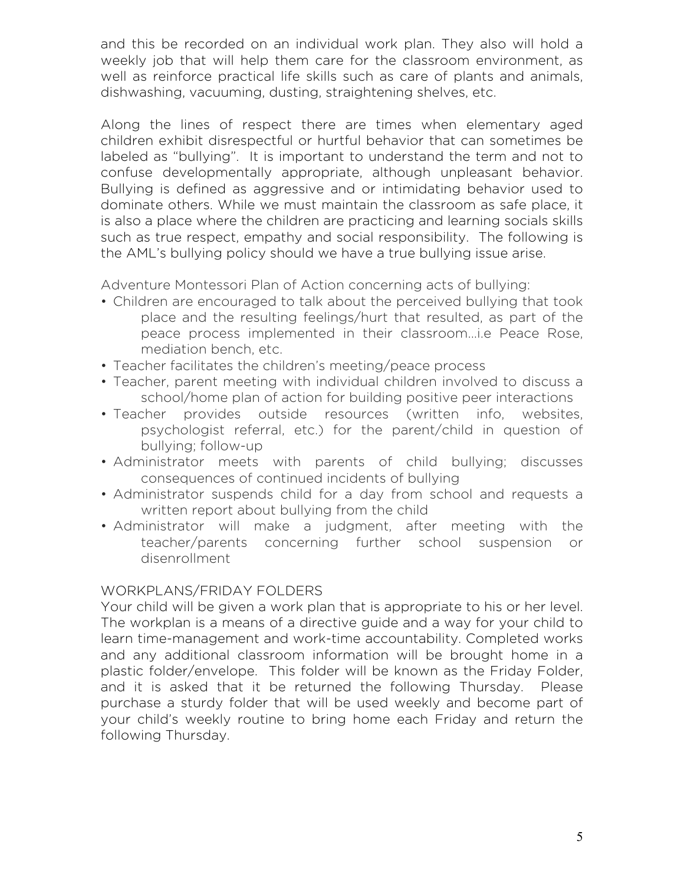and this be recorded on an individual work plan. They also will hold a weekly job that will help them care for the classroom environment, as well as reinforce practical life skills such as care of plants and animals, dishwashing, vacuuming, dusting, straightening shelves, etc.

Along the lines of respect there are times when elementary aged children exhibit disrespectful or hurtful behavior that can sometimes be labeled as "bullying". It is important to understand the term and not to confuse developmentally appropriate, although unpleasant behavior. Bullying is defined as aggressive and or intimidating behavior used to dominate others. While we must maintain the classroom as safe place, it is also a place where the children are practicing and learning socials skills such as true respect, empathy and social responsibility. The following is the AML's bullying policy should we have a true bullying issue arise.

Adventure Montessori Plan of Action concerning acts of bullying:

- Children are encouraged to talk about the perceived bullying that took place and the resulting feelings/hurt that resulted, as part of the peace process implemented in their classroom...i.e Peace Rose, mediation bench, etc.
- Teacher facilitates the children's meeting/peace process
- Teacher, parent meeting with individual children involved to discuss a school/home plan of action for building positive peer interactions
- Teacher provides outside resources (written info, websites, psychologist referral, etc.) for the parent/child in question of bullying; follow-up
- Administrator meets with parents of child bullying; discusses consequences of continued incidents of bullying
- Administrator suspends child for a day from school and requests a written report about bullying from the child
- Administrator will make a judgment, after meeting with the teacher/parents concerning further school suspension or disenrollment

## WORKPLANS/FRIDAY FOLDERS

Your child will be given a work plan that is appropriate to his or her level. The workplan is a means of a directive guide and a way for your child to learn time-management and work-time accountability. Completed works and any additional classroom information will be brought home in a plastic folder/envelope. This folder will be known as the Friday Folder, and it is asked that it be returned the following Thursday. Please purchase a sturdy folder that will be used weekly and become part of your child's weekly routine to bring home each Friday and return the following Thursday.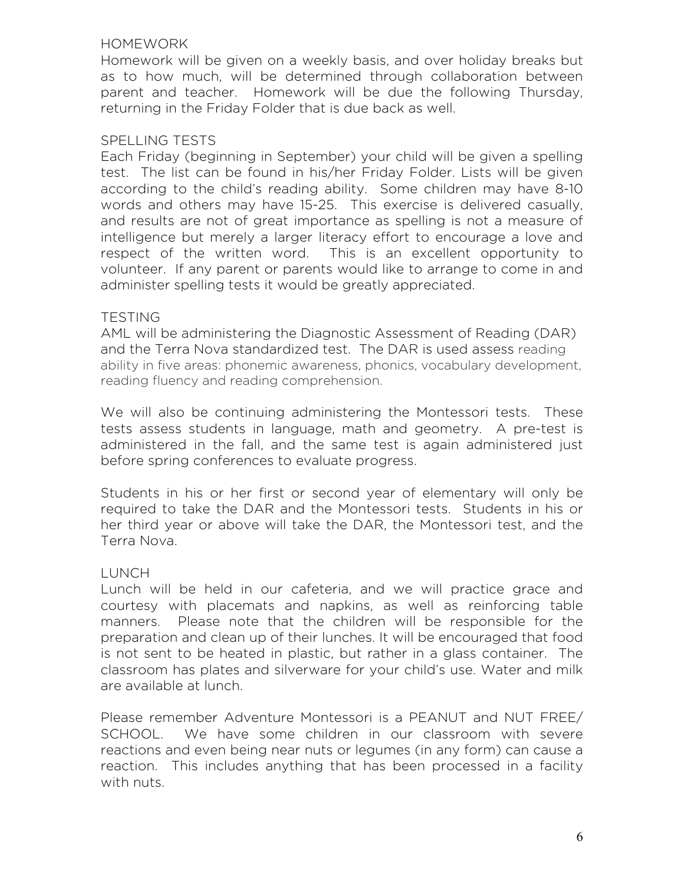## **HOMEWORK**

Homework will be given on a weekly basis, and over holiday breaks but as to how much, will be determined through collaboration between parent and teacher. Homework will be due the following Thursday, returning in the Friday Folder that is due back as well.

## SPELLING TESTS

Each Friday (beginning in September) your child will be given a spelling test. The list can be found in his/her Friday Folder. Lists will be given according to the child's reading ability. Some children may have 8-10 words and others may have 15-25. This exercise is delivered casually, and results are not of great importance as spelling is not a measure of intelligence but merely a larger literacy effort to encourage a love and respect of the written word. This is an excellent opportunity to volunteer. If any parent or parents would like to arrange to come in and administer spelling tests it would be greatly appreciated.

## **TESTING**

AML will be administering the Diagnostic Assessment of Reading (DAR) and the Terra Nova standardized test. The DAR is used assess reading ability in five areas: phonemic awareness, phonics, vocabulary development, reading fluency and reading comprehension.

We will also be continuing administering the Montessori tests. These tests assess students in language, math and geometry. A pre-test is administered in the fall, and the same test is again administered just before spring conferences to evaluate progress.

Students in his or her first or second year of elementary will only be required to take the DAR and the Montessori tests. Students in his or her third year or above will take the DAR, the Montessori test, and the Terra Nova.

## LUNCH

Lunch will be held in our cafeteria, and we will practice grace and courtesy with placemats and napkins, as well as reinforcing table manners. Please note that the children will be responsible for the preparation and clean up of their lunches. It will be encouraged that food is not sent to be heated in plastic, but rather in a glass container. The classroom has plates and silverware for your child's use. Water and milk are available at lunch.

Please remember Adventure Montessori is a PEANUT and NUT FREE/ SCHOOL. We have some children in our classroom with severe reactions and even being near nuts or legumes (in any form) can cause a reaction. This includes anything that has been processed in a facility with nuts.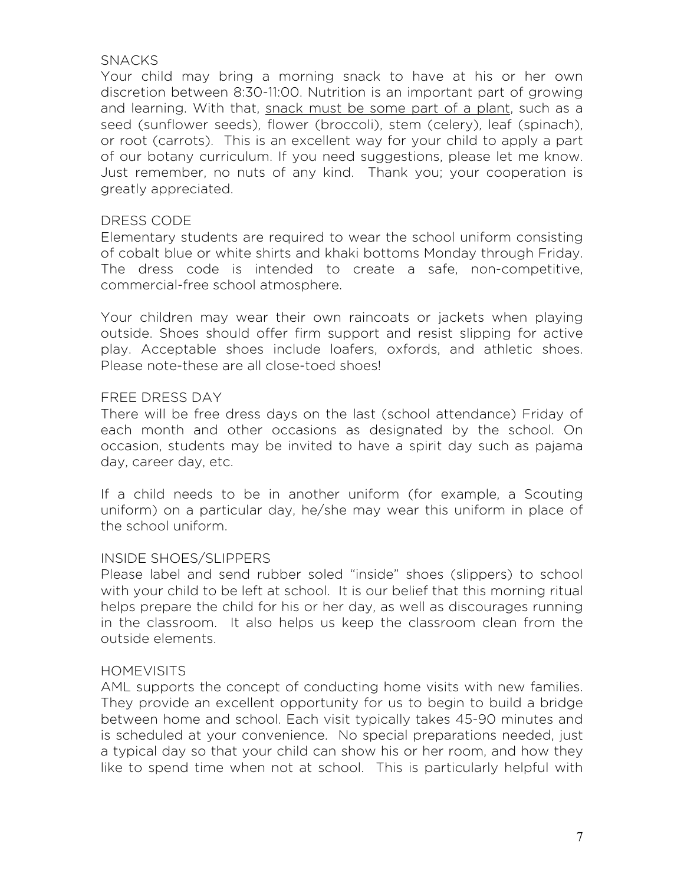## SNACKS

Your child may bring a morning snack to have at his or her own discretion between 8:30-11:00. Nutrition is an important part of growing and learning. With that, snack must be some part of a plant, such as a seed (sunflower seeds), flower (broccoli), stem (celery), leaf (spinach), or root (carrots). This is an excellent way for your child to apply a part of our botany curriculum. If you need suggestions, please let me know. Just remember, no nuts of any kind. Thank you; your cooperation is greatly appreciated.

### DRESS CODE

Elementary students are required to wear the school uniform consisting of cobalt blue or white shirts and khaki bottoms Monday through Friday. The dress code is intended to create a safe, non-competitive, commercial-free school atmosphere.

Your children may wear their own raincoats or jackets when playing outside. Shoes should offer firm support and resist slipping for active play. Acceptable shoes include loafers, oxfords, and athletic shoes. Please note-these are all close-toed shoes!

### FREE DRESS DAY

There will be free dress days on the last (school attendance) Friday of each month and other occasions as designated by the school. On occasion, students may be invited to have a spirit day such as pajama day, career day, etc.

If a child needs to be in another uniform (for example, a Scouting uniform) on a particular day, he/she may wear this uniform in place of the school uniform.

### INSIDE SHOES/SLIPPERS

Please label and send rubber soled "inside" shoes (slippers) to school with your child to be left at school. It is our belief that this morning ritual helps prepare the child for his or her day, as well as discourages running in the classroom. It also helps us keep the classroom clean from the outside elements.

### **HOMEVISITS**

AML supports the concept of conducting home visits with new families. They provide an excellent opportunity for us to begin to build a bridge between home and school. Each visit typically takes 45-90 minutes and is scheduled at your convenience. No special preparations needed, just a typical day so that your child can show his or her room, and how they like to spend time when not at school. This is particularly helpful with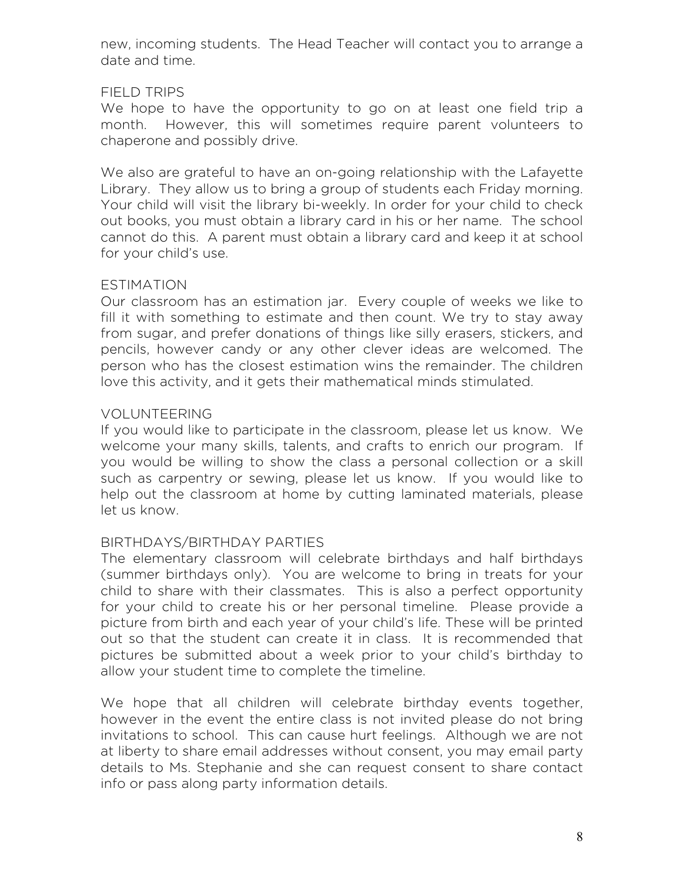new, incoming students. The Head Teacher will contact you to arrange a date and time.

## FIELD TRIPS

We hope to have the opportunity to go on at least one field trip a month. However, this will sometimes require parent volunteers to chaperone and possibly drive.

We also are grateful to have an on-going relationship with the Lafayette Library. They allow us to bring a group of students each Friday morning. Your child will visit the library bi-weekly. In order for your child to check out books, you must obtain a library card in his or her name. The school cannot do this. A parent must obtain a library card and keep it at school for your child's use.

## ESTIMATION

Our classroom has an estimation jar. Every couple of weeks we like to fill it with something to estimate and then count. We try to stay away from sugar, and prefer donations of things like silly erasers, stickers, and pencils, however candy or any other clever ideas are welcomed. The person who has the closest estimation wins the remainder. The children love this activity, and it gets their mathematical minds stimulated.

## VOLUNTEERING

If you would like to participate in the classroom, please let us know. We welcome your many skills, talents, and crafts to enrich our program. If you would be willing to show the class a personal collection or a skill such as carpentry or sewing, please let us know. If you would like to help out the classroom at home by cutting laminated materials, please let us know.

## BIRTHDAYS/BIRTHDAY PARTIES

The elementary classroom will celebrate birthdays and half birthdays (summer birthdays only). You are welcome to bring in treats for your child to share with their classmates. This is also a perfect opportunity for your child to create his or her personal timeline. Please provide a picture from birth and each year of your child's life. These will be printed out so that the student can create it in class. It is recommended that pictures be submitted about a week prior to your child's birthday to allow your student time to complete the timeline.

We hope that all children will celebrate birthday events together, however in the event the entire class is not invited please do not bring invitations to school. This can cause hurt feelings. Although we are not at liberty to share email addresses without consent, you may email party details to Ms. Stephanie and she can request consent to share contact info or pass along party information details.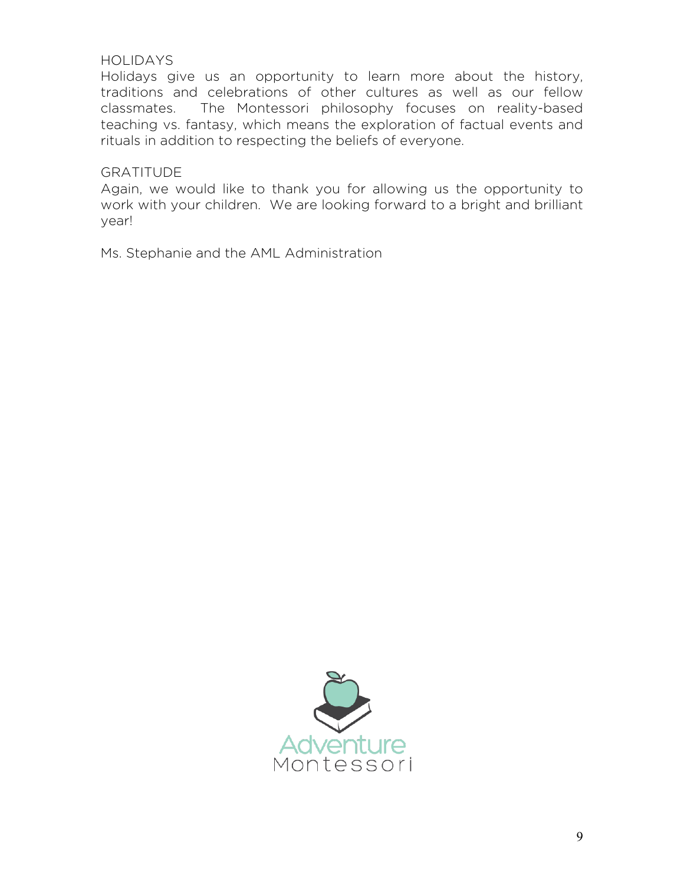### HOLIDAYS

Holidays give us an opportunity to learn more about the history, traditions and celebrations of other cultures as well as our fellow classmates. The Montessori philosophy focuses on reality-based teaching vs. fantasy, which means the exploration of factual events and rituals in addition to respecting the beliefs of everyone.

### **GRATITUDE**

Again, we would like to thank you for allowing us the opportunity to work with your children. We are looking forward to a bright and brilliant year!

Ms. Stephanie and the AML Administration